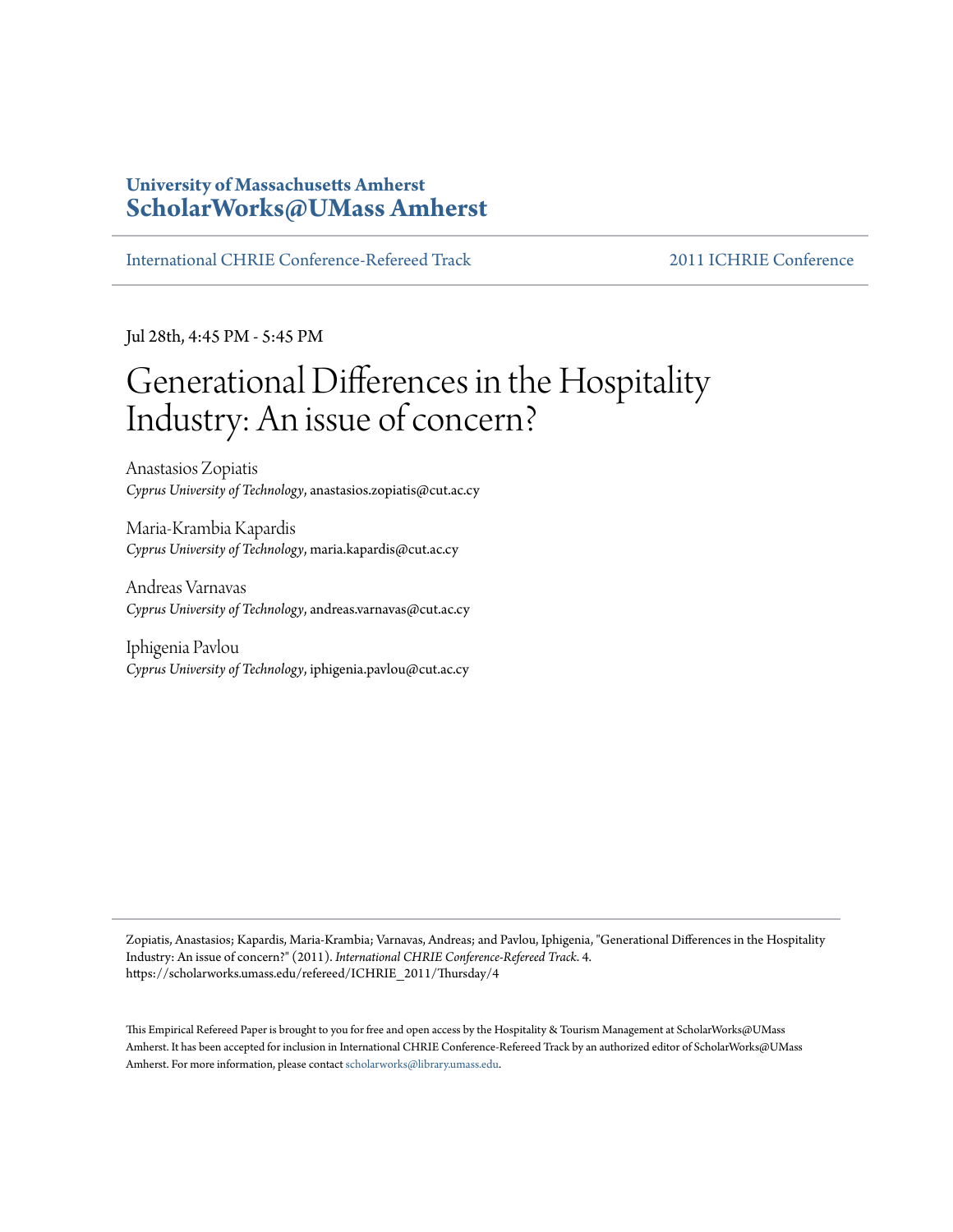# **University of Massachusetts Amherst [ScholarWorks@UMass Amherst](https://scholarworks.umass.edu)**

[International CHRIE Conference-Refereed Track](https://scholarworks.umass.edu/refereed) [2011 ICHRIE Conference](https://scholarworks.umass.edu/refereed/ICHRIE_2011)

Jul 28th, 4:45 PM - 5:45 PM

# Generational Differences in the Hospitality Industry: An issue of concern?

Anastasios Zopiatis *Cyprus University of Technology*, anastasios.zopiatis@cut.ac.cy

Maria-Krambia Kapardis *Cyprus University of Technology*, maria.kapardis@cut.ac.cy

Andreas Varnavas *Cyprus University of Technology*, andreas.varnavas@cut.ac.cy

Iphigenia Pavlou *Cyprus University of Technology*, iphigenia.pavlou@cut.ac.cy

Zopiatis, Anastasios; Kapardis, Maria-Krambia; Varnavas, Andreas; and Pavlou, Iphigenia, "Generational Differences in the Hospitality Industry: An issue of concern?" (2011). *International CHRIE Conference-Refereed Track*. 4. https://scholarworks.umass.edu/refereed/ICHRIE\_2011/Thursday/4

This Empirical Refereed Paper is brought to you for free and open access by the Hospitality & Tourism Management at ScholarWorks@UMass Amherst. It has been accepted for inclusion in International CHRIE Conference-Refereed Track by an authorized editor of ScholarWorks@UMass Amherst. For more information, please contact [scholarworks@library.umass.edu.](mailto:scholarworks@library.umass.edu)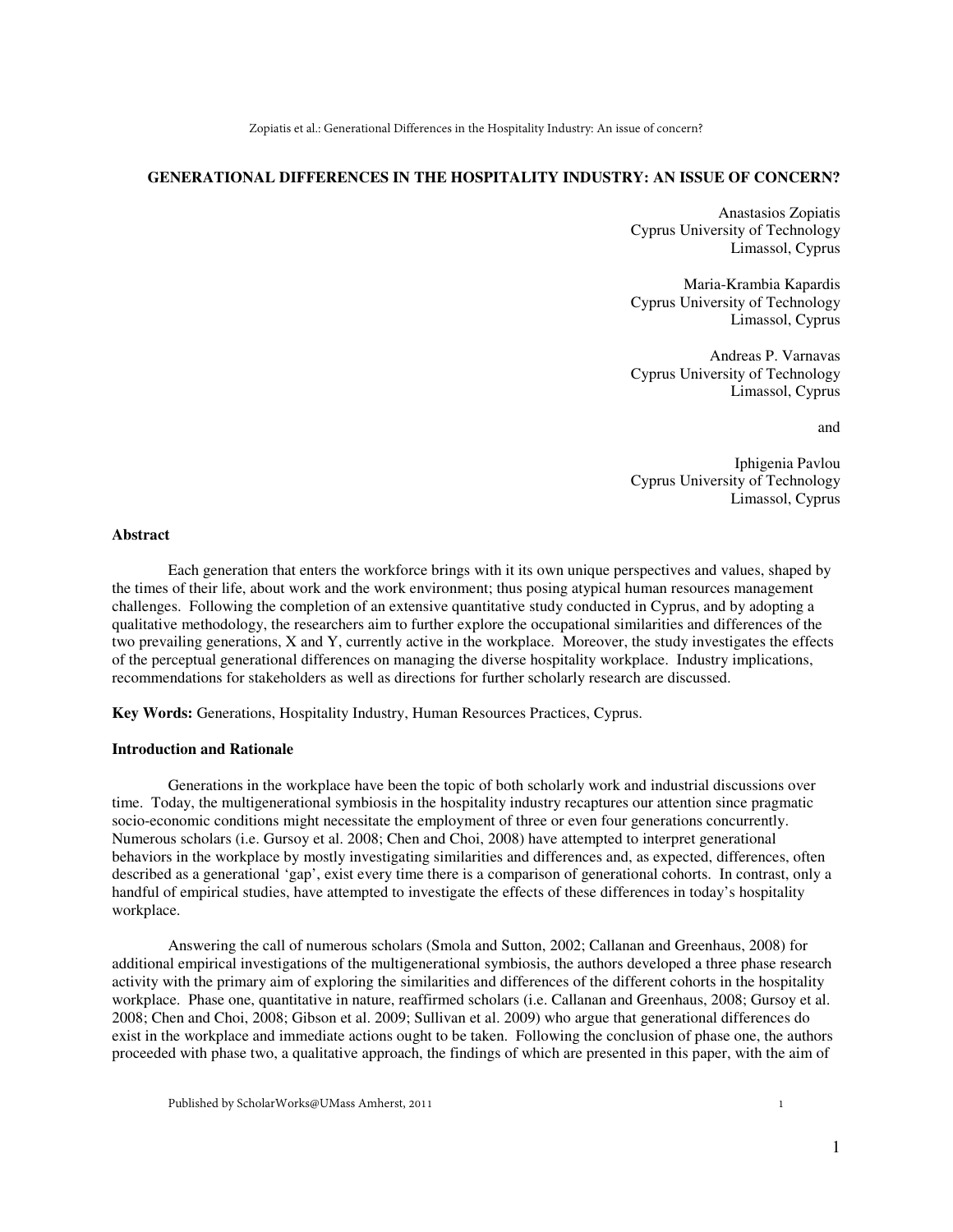#### **GENERATIONAL DIFFERENCES IN THE HOSPITALITY INDUSTRY: AN ISSUE OF CONCERN?**

Anastasios Zopiatis Cyprus University of Technology Limassol, Cyprus

 Maria-Krambia Kapardis Cyprus University of Technology Limassol, Cyprus

Andreas P. Varnavas Cyprus University of Technology Limassol, Cyprus

and

 Iphigenia Pavlou Cyprus University of Technology Limassol, Cyprus

#### **Abstract**

Each generation that enters the workforce brings with it its own unique perspectives and values, shaped by the times of their life, about work and the work environment; thus posing atypical human resources management challenges. Following the completion of an extensive quantitative study conducted in Cyprus, and by adopting a qualitative methodology, the researchers aim to further explore the occupational similarities and differences of the two prevailing generations, X and Y, currently active in the workplace. Moreover, the study investigates the effects of the perceptual generational differences on managing the diverse hospitality workplace. Industry implications, recommendations for stakeholders as well as directions for further scholarly research are discussed.

**Key Words:** Generations, Hospitality Industry, Human Resources Practices, Cyprus.

#### **Introduction and Rationale**

Generations in the workplace have been the topic of both scholarly work and industrial discussions over time. Today, the multigenerational symbiosis in the hospitality industry recaptures our attention since pragmatic socio-economic conditions might necessitate the employment of three or even four generations concurrently. Numerous scholars (i.e. Gursoy et al. 2008; Chen and Choi, 2008) have attempted to interpret generational behaviors in the workplace by mostly investigating similarities and differences and, as expected, differences, often described as a generational 'gap', exist every time there is a comparison of generational cohorts. In contrast, only a handful of empirical studies, have attempted to investigate the effects of these differences in today's hospitality workplace.

Answering the call of numerous scholars (Smola and Sutton, 2002; Callanan and Greenhaus, 2008) for additional empirical investigations of the multigenerational symbiosis, the authors developed a three phase research activity with the primary aim of exploring the similarities and differences of the different cohorts in the hospitality workplace. Phase one, quantitative in nature, reaffirmed scholars (i.e. Callanan and Greenhaus, 2008; Gursoy et al. 2008; Chen and Choi, 2008; Gibson et al. 2009; Sullivan et al. 2009) who argue that generational differences do exist in the workplace and immediate actions ought to be taken. Following the conclusion of phase one, the authors proceeded with phase two, a qualitative approach, the findings of which are presented in this paper, with the aim of

1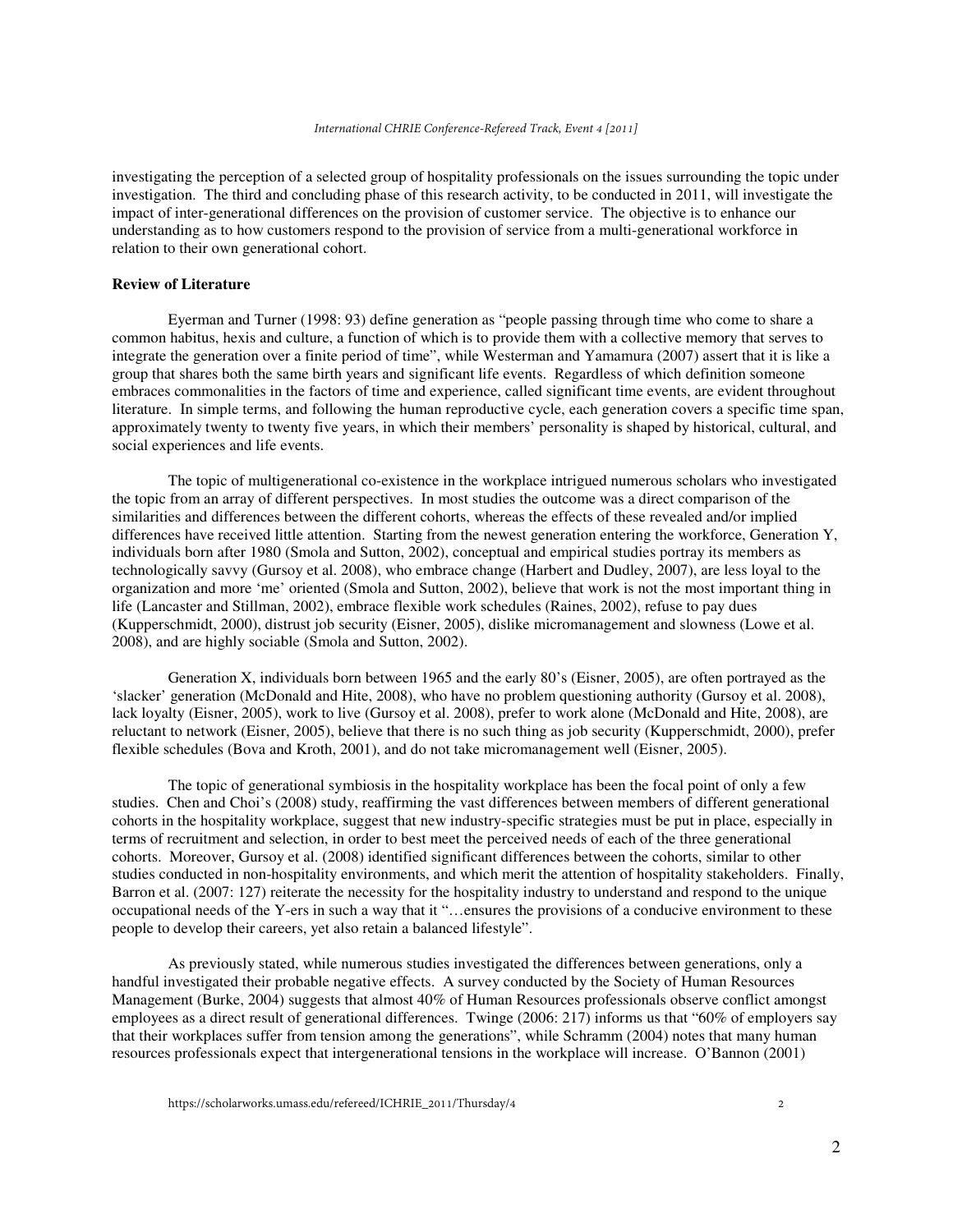investigating the perception of a selected group of hospitality professionals on the issues surrounding the topic under investigation. The third and concluding phase of this research activity, to be conducted in 2011, will investigate the impact of inter-generational differences on the provision of customer service. The objective is to enhance our understanding as to how customers respond to the provision of service from a multi-generational workforce in relation to their own generational cohort.

## **Review of Literature**

Eyerman and Turner (1998: 93) define generation as "people passing through time who come to share a common habitus, hexis and culture, a function of which is to provide them with a collective memory that serves to integrate the generation over a finite period of time", while Westerman and Yamamura (2007) assert that it is like a group that shares both the same birth years and significant life events. Regardless of which definition someone embraces commonalities in the factors of time and experience, called significant time events, are evident throughout literature. In simple terms, and following the human reproductive cycle, each generation covers a specific time span, approximately twenty to twenty five years, in which their members' personality is shaped by historical, cultural, and social experiences and life events.

The topic of multigenerational co-existence in the workplace intrigued numerous scholars who investigated the topic from an array of different perspectives. In most studies the outcome was a direct comparison of the similarities and differences between the different cohorts, whereas the effects of these revealed and/or implied differences have received little attention. Starting from the newest generation entering the workforce, Generation Y, individuals born after 1980 (Smola and Sutton, 2002), conceptual and empirical studies portray its members as technologically savvy (Gursoy et al. 2008), who embrace change (Harbert and Dudley, 2007), are less loyal to the organization and more 'me' oriented (Smola and Sutton, 2002), believe that work is not the most important thing in life (Lancaster and Stillman, 2002), embrace flexible work schedules (Raines, 2002), refuse to pay dues (Kupperschmidt, 2000), distrust job security (Eisner, 2005), dislike micromanagement and slowness (Lowe et al. 2008), and are highly sociable (Smola and Sutton, 2002).

Generation X, individuals born between 1965 and the early 80's (Eisner, 2005), are often portrayed as the 'slacker' generation (McDonald and Hite, 2008), who have no problem questioning authority (Gursoy et al. 2008), lack loyalty (Eisner, 2005), work to live (Gursoy et al. 2008), prefer to work alone (McDonald and Hite, 2008), are reluctant to network (Eisner, 2005), believe that there is no such thing as job security (Kupperschmidt, 2000), prefer flexible schedules (Bova and Kroth, 2001), and do not take micromanagement well (Eisner, 2005).

The topic of generational symbiosis in the hospitality workplace has been the focal point of only a few studies. Chen and Choi's (2008) study, reaffirming the vast differences between members of different generational cohorts in the hospitality workplace, suggest that new industry-specific strategies must be put in place, especially in terms of recruitment and selection, in order to best meet the perceived needs of each of the three generational cohorts. Moreover, Gursoy et al. (2008) identified significant differences between the cohorts, similar to other studies conducted in non-hospitality environments, and which merit the attention of hospitality stakeholders. Finally, Barron et al. (2007: 127) reiterate the necessity for the hospitality industry to understand and respond to the unique occupational needs of the Y-ers in such a way that it "…ensures the provisions of a conducive environment to these people to develop their careers, yet also retain a balanced lifestyle".

As previously stated, while numerous studies investigated the differences between generations, only a handful investigated their probable negative effects. A survey conducted by the Society of Human Resources Management (Burke, 2004) suggests that almost 40% of Human Resources professionals observe conflict amongst employees as a direct result of generational differences. Twinge (2006: 217) informs us that "60% of employers say that their workplaces suffer from tension among the generations", while Schramm (2004) notes that many human resources professionals expect that intergenerational tensions in the workplace will increase. O'Bannon (2001)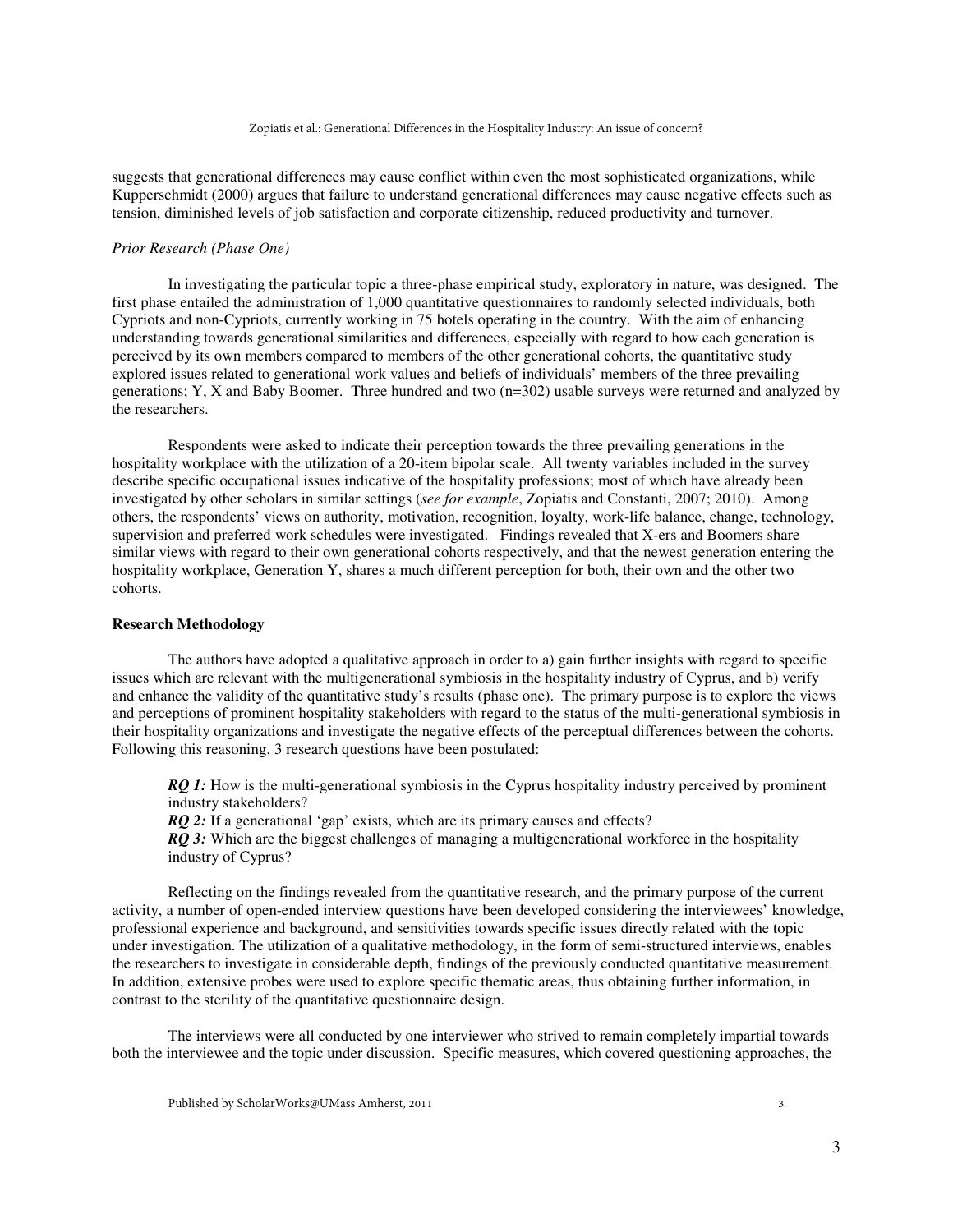suggests that generational differences may cause conflict within even the most sophisticated organizations, while Kupperschmidt (2000) argues that failure to understand generational differences may cause negative effects such as tension, diminished levels of job satisfaction and corporate citizenship, reduced productivity and turnover.

# *Prior Research (Phase One)*

In investigating the particular topic a three-phase empirical study, exploratory in nature, was designed. The first phase entailed the administration of 1,000 quantitative questionnaires to randomly selected individuals, both Cypriots and non-Cypriots, currently working in 75 hotels operating in the country. With the aim of enhancing understanding towards generational similarities and differences, especially with regard to how each generation is perceived by its own members compared to members of the other generational cohorts, the quantitative study explored issues related to generational work values and beliefs of individuals' members of the three prevailing generations; Y, X and Baby Boomer. Three hundred and two (n=302) usable surveys were returned and analyzed by the researchers.

Respondents were asked to indicate their perception towards the three prevailing generations in the hospitality workplace with the utilization of a 20-item bipolar scale. All twenty variables included in the survey describe specific occupational issues indicative of the hospitality professions; most of which have already been investigated by other scholars in similar settings (*see for example*, Zopiatis and Constanti, 2007; 2010). Among others, the respondents' views on authority, motivation, recognition, loyalty, work-life balance, change, technology, supervision and preferred work schedules were investigated. Findings revealed that X-ers and Boomers share similar views with regard to their own generational cohorts respectively, and that the newest generation entering the hospitality workplace, Generation Y, shares a much different perception for both, their own and the other two cohorts.

#### **Research Methodology**

The authors have adopted a qualitative approach in order to a) gain further insights with regard to specific issues which are relevant with the multigenerational symbiosis in the hospitality industry of Cyprus, and b) verify and enhance the validity of the quantitative study's results (phase one). The primary purpose is to explore the views and perceptions of prominent hospitality stakeholders with regard to the status of the multi-generational symbiosis in their hospitality organizations and investigate the negative effects of the perceptual differences between the cohorts. Following this reasoning, 3 research questions have been postulated:

*RO 1:* How is the multi-generational symbiosis in the Cyprus hospitality industry perceived by prominent industry stakeholders?

*RQ 2:* If a generational 'gap' exists, which are its primary causes and effects?

*RQ 3:* Which are the biggest challenges of managing a multigenerational workforce in the hospitality industry of Cyprus?

Reflecting on the findings revealed from the quantitative research, and the primary purpose of the current activity, a number of open-ended interview questions have been developed considering the interviewees' knowledge, professional experience and background, and sensitivities towards specific issues directly related with the topic under investigation. The utilization of a qualitative methodology, in the form of semi-structured interviews, enables the researchers to investigate in considerable depth, findings of the previously conducted quantitative measurement. In addition, extensive probes were used to explore specific thematic areas, thus obtaining further information, in contrast to the sterility of the quantitative questionnaire design.

The interviews were all conducted by one interviewer who strived to remain completely impartial towards both the interviewee and the topic under discussion. Specific measures, which covered questioning approaches, the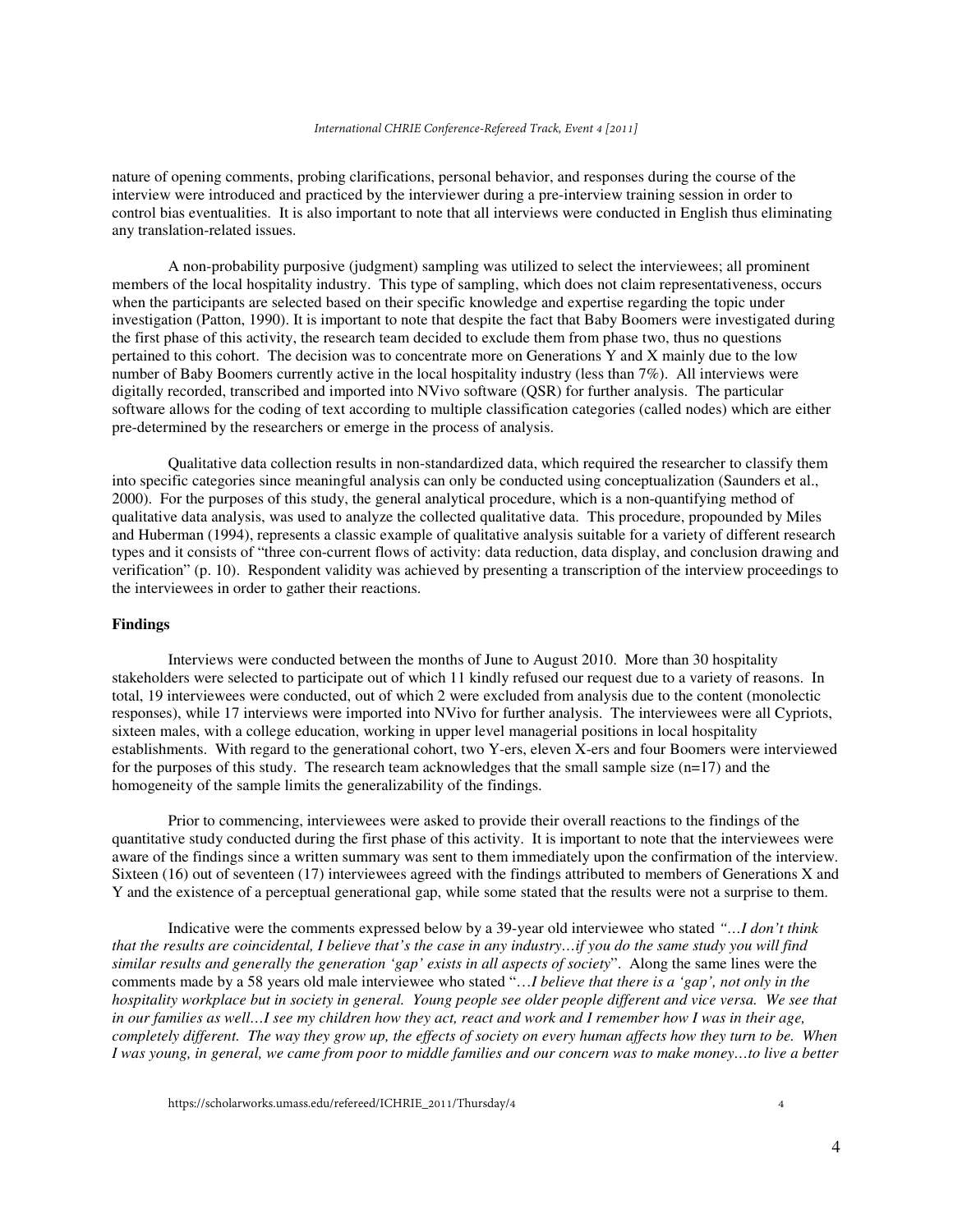nature of opening comments, probing clarifications, personal behavior, and responses during the course of the interview were introduced and practiced by the interviewer during a pre-interview training session in order to control bias eventualities. It is also important to note that all interviews were conducted in English thus eliminating any translation-related issues.

A non-probability purposive (judgment) sampling was utilized to select the interviewees; all prominent members of the local hospitality industry. This type of sampling, which does not claim representativeness, occurs when the participants are selected based on their specific knowledge and expertise regarding the topic under investigation (Patton, 1990). It is important to note that despite the fact that Baby Boomers were investigated during the first phase of this activity, the research team decided to exclude them from phase two, thus no questions pertained to this cohort. The decision was to concentrate more on Generations Y and X mainly due to the low number of Baby Boomers currently active in the local hospitality industry (less than 7%). All interviews were digitally recorded, transcribed and imported into NVivo software (QSR) for further analysis. The particular software allows for the coding of text according to multiple classification categories (called nodes) which are either pre-determined by the researchers or emerge in the process of analysis.

Qualitative data collection results in non-standardized data, which required the researcher to classify them into specific categories since meaningful analysis can only be conducted using conceptualization (Saunders et al., 2000). For the purposes of this study, the general analytical procedure, which is a non-quantifying method of qualitative data analysis, was used to analyze the collected qualitative data. This procedure, propounded by Miles and Huberman (1994), represents a classic example of qualitative analysis suitable for a variety of different research types and it consists of "three con-current flows of activity: data reduction, data display, and conclusion drawing and verification" (p. 10). Respondent validity was achieved by presenting a transcription of the interview proceedings to the interviewees in order to gather their reactions.

## **Findings**

Interviews were conducted between the months of June to August 2010. More than 30 hospitality stakeholders were selected to participate out of which 11 kindly refused our request due to a variety of reasons. In total, 19 interviewees were conducted, out of which 2 were excluded from analysis due to the content (monolectic responses), while 17 interviews were imported into NVivo for further analysis. The interviewees were all Cypriots, sixteen males, with a college education, working in upper level managerial positions in local hospitality establishments. With regard to the generational cohort, two Y-ers, eleven X-ers and four Boomers were interviewed for the purposes of this study. The research team acknowledges that the small sample size  $(n=17)$  and the homogeneity of the sample limits the generalizability of the findings.

Prior to commencing, interviewees were asked to provide their overall reactions to the findings of the quantitative study conducted during the first phase of this activity. It is important to note that the interviewees were aware of the findings since a written summary was sent to them immediately upon the confirmation of the interview. Sixteen (16) out of seventeen (17) interviewees agreed with the findings attributed to members of Generations X and Y and the existence of a perceptual generational gap, while some stated that the results were not a surprise to them.

Indicative were the comments expressed below by a 39-year old interviewee who stated *"…I don't think that the results are coincidental, I believe that's the case in any industry…if you do the same study you will find similar results and generally the generation 'gap' exists in all aspects of society*". Along the same lines were the comments made by a 58 years old male interviewee who stated "…*I believe that there is a 'gap', not only in the hospitality workplace but in society in general. Young people see older people different and vice versa. We see that in our families as well…I see my children how they act, react and work and I remember how I was in their age, completely different. The way they grow up, the effects of society on every human affects how they turn to be. When I was young, in general, we came from poor to middle families and our concern was to make money…to live a better*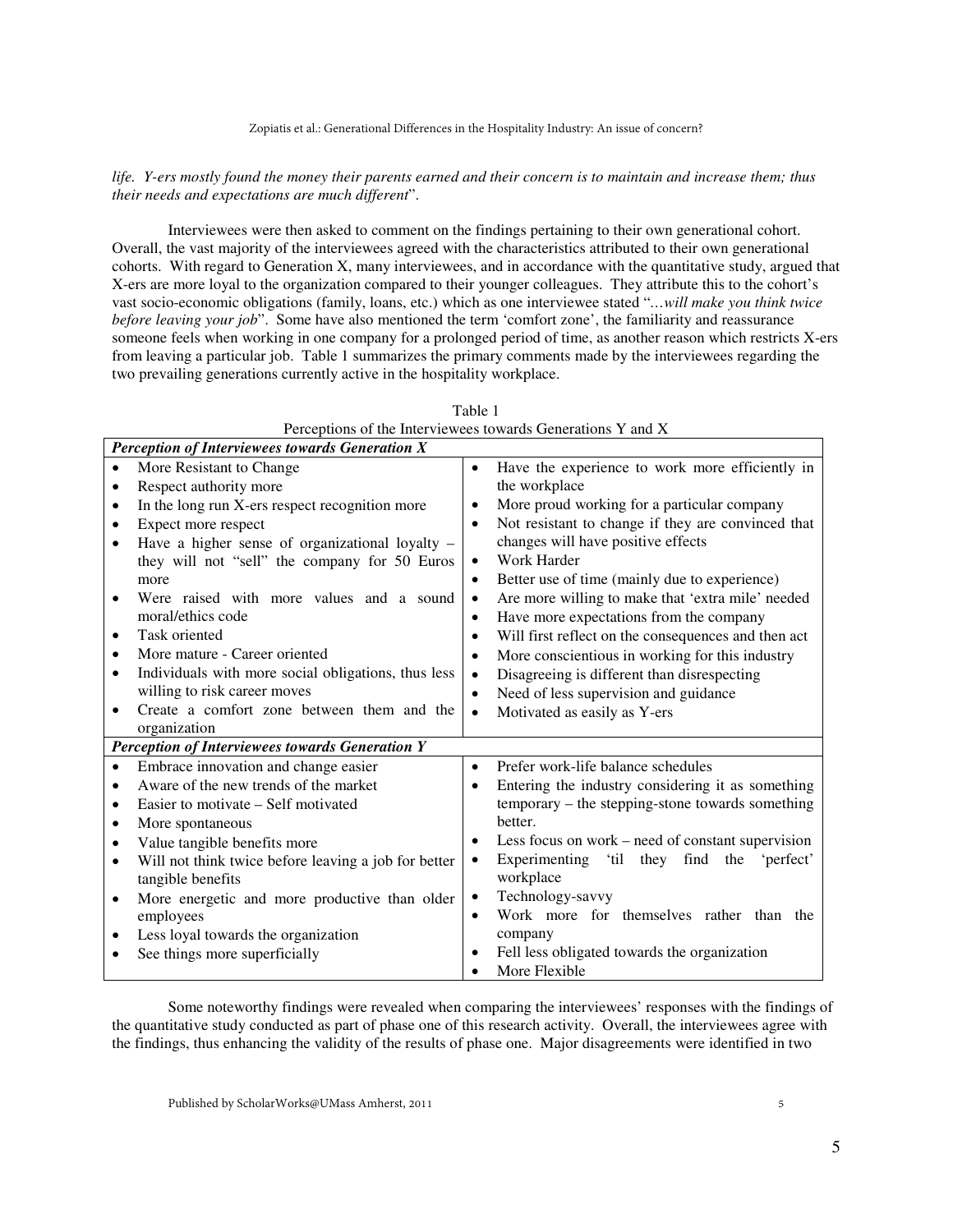#### *life. Y-ers mostly found the money their parents earned and their concern is to maintain and increase them; thus their needs and expectations are much different*".

Interviewees were then asked to comment on the findings pertaining to their own generational cohort. Overall, the vast majority of the interviewees agreed with the characteristics attributed to their own generational cohorts. With regard to Generation X, many interviewees, and in accordance with the quantitative study, argued that X-ers are more loyal to the organization compared to their younger colleagues. They attribute this to the cohort's vast socio-economic obligations (family, loans, etc.) which as one interviewee stated "*…will make you think twice before leaving your job*". Some have also mentioned the term 'comfort zone', the familiarity and reassurance someone feels when working in one company for a prolonged period of time, as another reason which restricts X-ers from leaving a particular job. Table 1 summarizes the primary comments made by the interviewees regarding the two prevailing generations currently active in the hospitality workplace.

| Perceptions of the Interviewees towards Generations Y and X |                                                      |           |                                                        |
|-------------------------------------------------------------|------------------------------------------------------|-----------|--------------------------------------------------------|
| Perception of Interviewees towards Generation X             |                                                      |           |                                                        |
| $\bullet$                                                   | More Resistant to Change                             | $\bullet$ | Have the experience to work more efficiently in        |
| $\bullet$                                                   | Respect authority more                               |           | the workplace                                          |
| $\bullet$                                                   | In the long run X-ers respect recognition more       | $\bullet$ | More proud working for a particular company            |
| $\bullet$                                                   | Expect more respect                                  | $\bullet$ | Not resistant to change if they are convinced that     |
|                                                             | Have a higher sense of organizational loyalty -      |           | changes will have positive effects                     |
|                                                             | they will not "sell" the company for 50 Euros        | $\bullet$ | Work Harder                                            |
|                                                             | more                                                 | $\bullet$ | Better use of time (mainly due to experience)          |
| $\bullet$                                                   | Were raised with more values and a sound             | $\bullet$ | Are more willing to make that 'extra mile' needed      |
|                                                             | moral/ethics code                                    | $\bullet$ | Have more expectations from the company                |
| $\bullet$                                                   | Task oriented                                        | $\bullet$ | Will first reflect on the consequences and then act    |
| ٠                                                           | More mature - Career oriented                        | $\bullet$ | More conscientious in working for this industry        |
| $\bullet$                                                   | Individuals with more social obligations, thus less  | $\bullet$ | Disagreeing is different than disrespecting            |
|                                                             | willing to risk career moves                         | $\bullet$ | Need of less supervision and guidance                  |
| $\bullet$                                                   | Create a comfort zone between them and the           | $\bullet$ | Motivated as easily as Y-ers                           |
|                                                             | organization                                         |           |                                                        |
| <b>Perception of Interviewees towards Generation Y</b>      |                                                      |           |                                                        |
| $\bullet$                                                   | Embrace innovation and change easier                 | $\bullet$ | Prefer work-life balance schedules                     |
| $\bullet$                                                   | Aware of the new trends of the market                | $\bullet$ | Entering the industry considering it as something      |
| $\bullet$                                                   | Easier to motivate – Self motivated                  |           | temporary – the stepping-stone towards something       |
| $\bullet$                                                   | More spontaneous                                     |           | better.                                                |
| $\bullet$                                                   | Value tangible benefits more                         | $\bullet$ | Less focus on work – need of constant supervision      |
| $\bullet$                                                   | Will not think twice before leaving a job for better | $\bullet$ | Experimenting<br>'til<br>they find<br>the<br>'perfect' |
|                                                             | tangible benefits                                    |           | workplace                                              |
| $\bullet$                                                   | More energetic and more productive than older        | $\bullet$ | Technology-savvy                                       |
|                                                             | employees                                            | $\bullet$ | Work more for themselves rather than the               |
| ٠                                                           | Less loyal towards the organization                  |           | company                                                |
|                                                             | See things more superficially                        | $\bullet$ | Fell less obligated towards the organization           |
|                                                             |                                                      |           | More Flexible                                          |

Table 1

Some noteworthy findings were revealed when comparing the interviewees' responses with the findings of the quantitative study conducted as part of phase one of this research activity. Overall, the interviewees agree with the findings, thus enhancing the validity of the results of phase one. Major disagreements were identified in two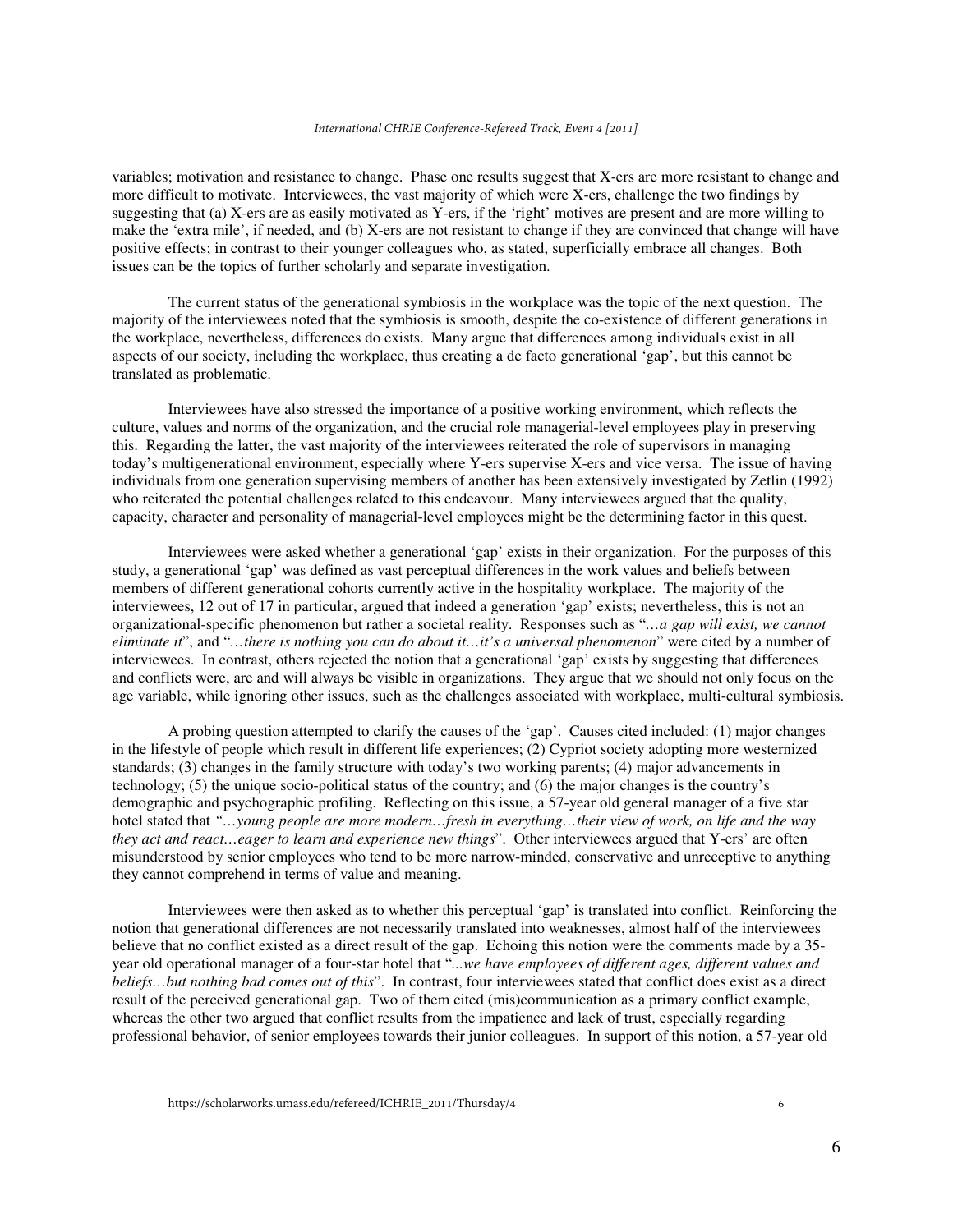#### *International CHRIE Conference-Refereed Track, Event 4 [2011]*

variables; motivation and resistance to change. Phase one results suggest that X-ers are more resistant to change and more difficult to motivate. Interviewees, the vast majority of which were X-ers, challenge the two findings by suggesting that (a) X-ers are as easily motivated as Y-ers, if the 'right' motives are present and are more willing to make the 'extra mile', if needed, and (b) X-ers are not resistant to change if they are convinced that change will have positive effects; in contrast to their younger colleagues who, as stated, superficially embrace all changes. Both issues can be the topics of further scholarly and separate investigation.

The current status of the generational symbiosis in the workplace was the topic of the next question. The majority of the interviewees noted that the symbiosis is smooth, despite the co-existence of different generations in the workplace, nevertheless, differences do exists. Many argue that differences among individuals exist in all aspects of our society, including the workplace, thus creating a de facto generational 'gap', but this cannot be translated as problematic.

Interviewees have also stressed the importance of a positive working environment, which reflects the culture, values and norms of the organization, and the crucial role managerial-level employees play in preserving this. Regarding the latter, the vast majority of the interviewees reiterated the role of supervisors in managing today's multigenerational environment, especially where Y-ers supervise X-ers and vice versa. The issue of having individuals from one generation supervising members of another has been extensively investigated by Zetlin (1992) who reiterated the potential challenges related to this endeavour. Many interviewees argued that the quality, capacity, character and personality of managerial-level employees might be the determining factor in this quest.

Interviewees were asked whether a generational 'gap' exists in their organization. For the purposes of this study, a generational 'gap' was defined as vast perceptual differences in the work values and beliefs between members of different generational cohorts currently active in the hospitality workplace. The majority of the interviewees, 12 out of 17 in particular, argued that indeed a generation 'gap' exists; nevertheless, this is not an organizational-specific phenomenon but rather a societal reality. Responses such as "*…a gap will exist, we cannot eliminate it*", and "*…there is nothing you can do about it…it's a universal phenomenon*" were cited by a number of interviewees. In contrast, others rejected the notion that a generational 'gap' exists by suggesting that differences and conflicts were, are and will always be visible in organizations. They argue that we should not only focus on the age variable, while ignoring other issues, such as the challenges associated with workplace, multi-cultural symbiosis.

A probing question attempted to clarify the causes of the 'gap'. Causes cited included: (1) major changes in the lifestyle of people which result in different life experiences; (2) Cypriot society adopting more westernized standards; (3) changes in the family structure with today's two working parents; (4) major advancements in technology; (5) the unique socio-political status of the country; and (6) the major changes is the country's demographic and psychographic profiling. Reflecting on this issue, a 57-year old general manager of a five star hotel stated that *"…young people are more modern…fresh in everything…their view of work, on life and the way they act and react…eager to learn and experience new things*". Other interviewees argued that Y-ers' are often misunderstood by senior employees who tend to be more narrow-minded, conservative and unreceptive to anything they cannot comprehend in terms of value and meaning.

Interviewees were then asked as to whether this perceptual 'gap' is translated into conflict. Reinforcing the notion that generational differences are not necessarily translated into weaknesses, almost half of the interviewees believe that no conflict existed as a direct result of the gap. Echoing this notion were the comments made by a 35 year old operational manager of a four-star hotel that "*...we have employees of different ages, different values and beliefs…but nothing bad comes out of this*". In contrast, four interviewees stated that conflict does exist as a direct result of the perceived generational gap. Two of them cited (mis)communication as a primary conflict example, whereas the other two argued that conflict results from the impatience and lack of trust, especially regarding professional behavior, of senior employees towards their junior colleagues. In support of this notion, a 57-year old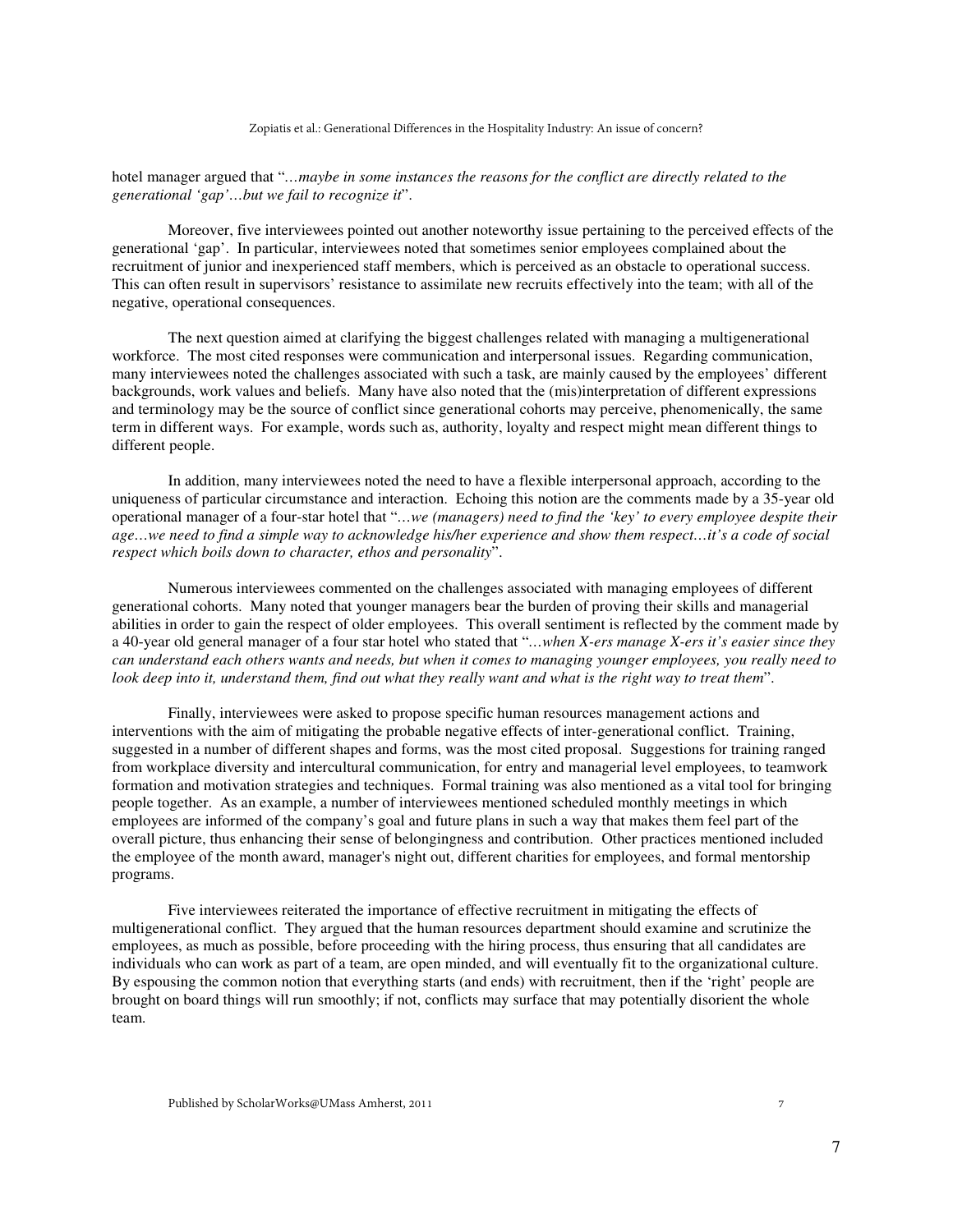hotel manager argued that "*…maybe in some instances the reasons for the conflict are directly related to the generational 'gap'…but we fail to recognize it*".

Moreover, five interviewees pointed out another noteworthy issue pertaining to the perceived effects of the generational 'gap'. In particular, interviewees noted that sometimes senior employees complained about the recruitment of junior and inexperienced staff members, which is perceived as an obstacle to operational success. This can often result in supervisors' resistance to assimilate new recruits effectively into the team; with all of the negative, operational consequences.

The next question aimed at clarifying the biggest challenges related with managing a multigenerational workforce. The most cited responses were communication and interpersonal issues. Regarding communication, many interviewees noted the challenges associated with such a task, are mainly caused by the employees' different backgrounds, work values and beliefs. Many have also noted that the (mis)interpretation of different expressions and terminology may be the source of conflict since generational cohorts may perceive, phenomenically, the same term in different ways. For example, words such as, authority, loyalty and respect might mean different things to different people.

In addition, many interviewees noted the need to have a flexible interpersonal approach, according to the uniqueness of particular circumstance and interaction. Echoing this notion are the comments made by a 35-year old operational manager of a four-star hotel that "*…we (managers) need to find the 'key' to every employee despite their age…we need to find a simple way to acknowledge his/her experience and show them respect…it's a code of social respect which boils down to character, ethos and personality*".

Numerous interviewees commented on the challenges associated with managing employees of different generational cohorts. Many noted that younger managers bear the burden of proving their skills and managerial abilities in order to gain the respect of older employees. This overall sentiment is reflected by the comment made by a 40-year old general manager of a four star hotel who stated that "*…when X-ers manage X-ers it's easier since they can understand each others wants and needs, but when it comes to managing younger employees, you really need to look deep into it, understand them, find out what they really want and what is the right way to treat them*".

Finally, interviewees were asked to propose specific human resources management actions and interventions with the aim of mitigating the probable negative effects of inter-generational conflict. Training, suggested in a number of different shapes and forms, was the most cited proposal. Suggestions for training ranged from workplace diversity and intercultural communication, for entry and managerial level employees, to teamwork formation and motivation strategies and techniques. Formal training was also mentioned as a vital tool for bringing people together. As an example, a number of interviewees mentioned scheduled monthly meetings in which employees are informed of the company's goal and future plans in such a way that makes them feel part of the overall picture, thus enhancing their sense of belongingness and contribution. Other practices mentioned included the employee of the month award, manager's night out, different charities for employees, and formal mentorship programs.

Five interviewees reiterated the importance of effective recruitment in mitigating the effects of multigenerational conflict. They argued that the human resources department should examine and scrutinize the employees, as much as possible, before proceeding with the hiring process, thus ensuring that all candidates are individuals who can work as part of a team, are open minded, and will eventually fit to the organizational culture. By espousing the common notion that everything starts (and ends) with recruitment, then if the 'right' people are brought on board things will run smoothly; if not, conflicts may surface that may potentially disorient the whole team.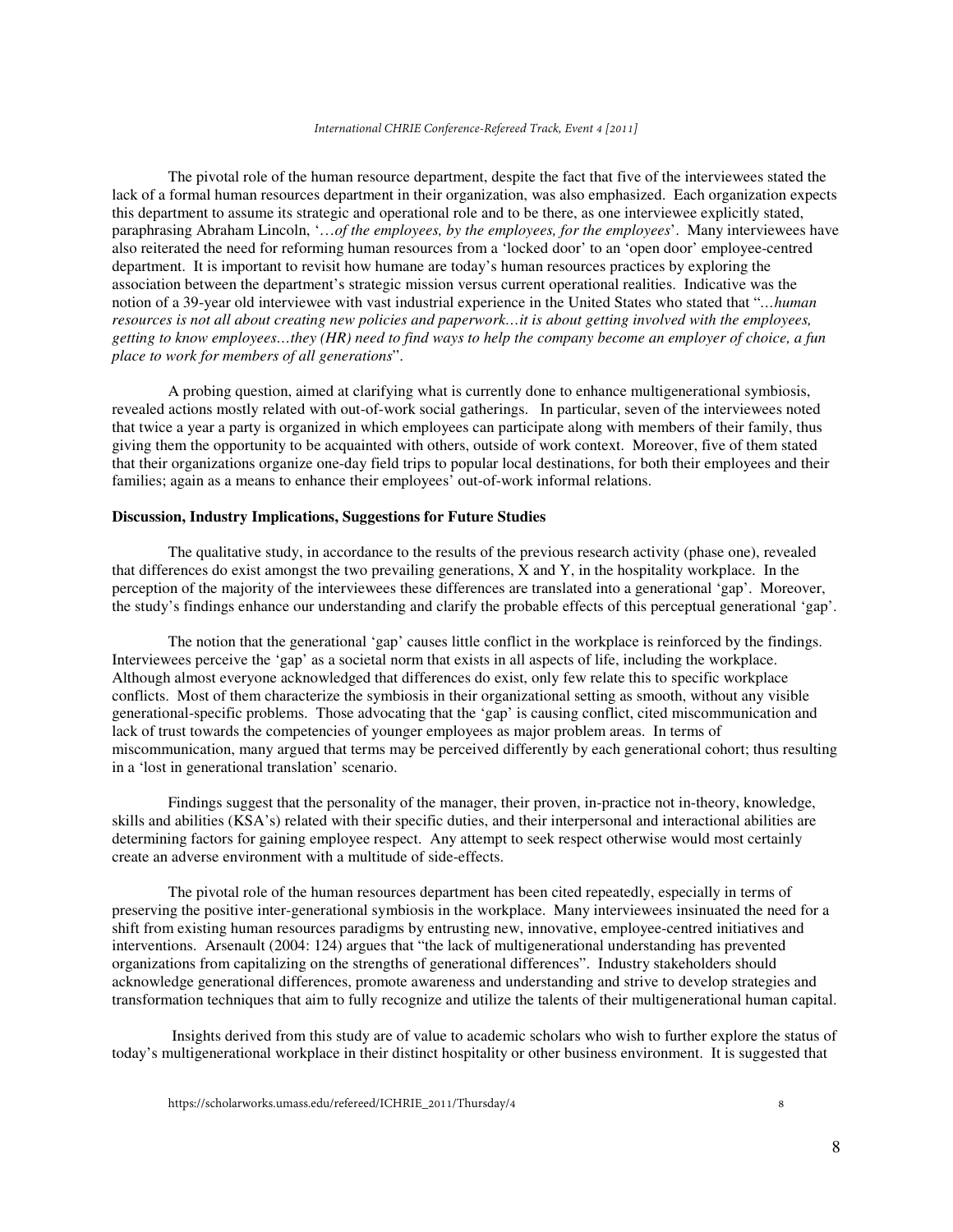The pivotal role of the human resource department, despite the fact that five of the interviewees stated the lack of a formal human resources department in their organization, was also emphasized. Each organization expects this department to assume its strategic and operational role and to be there, as one interviewee explicitly stated, paraphrasing Abraham Lincoln, '…*of the employees, by the employees, for the employees*'. Many interviewees have also reiterated the need for reforming human resources from a 'locked door' to an 'open door' employee-centred department. It is important to revisit how humane are today's human resources practices by exploring the association between the department's strategic mission versus current operational realities. Indicative was the notion of a 39-year old interviewee with vast industrial experience in the United States who stated that "*…human resources is not all about creating new policies and paperwork…it is about getting involved with the employees, getting to know employees…they (HR) need to find ways to help the company become an employer of choice, a fun place to work for members of all generations*".

A probing question, aimed at clarifying what is currently done to enhance multigenerational symbiosis, revealed actions mostly related with out-of-work social gatherings. In particular, seven of the interviewees noted that twice a year a party is organized in which employees can participate along with members of their family, thus giving them the opportunity to be acquainted with others, outside of work context. Moreover, five of them stated that their organizations organize one-day field trips to popular local destinations, for both their employees and their families; again as a means to enhance their employees' out-of-work informal relations.

#### **Discussion, Industry Implications, Suggestions for Future Studies**

The qualitative study, in accordance to the results of the previous research activity (phase one), revealed that differences do exist amongst the two prevailing generations, X and Y, in the hospitality workplace. In the perception of the majority of the interviewees these differences are translated into a generational 'gap'. Moreover, the study's findings enhance our understanding and clarify the probable effects of this perceptual generational 'gap'.

The notion that the generational 'gap' causes little conflict in the workplace is reinforced by the findings. Interviewees perceive the 'gap' as a societal norm that exists in all aspects of life, including the workplace. Although almost everyone acknowledged that differences do exist, only few relate this to specific workplace conflicts. Most of them characterize the symbiosis in their organizational setting as smooth, without any visible generational-specific problems. Those advocating that the 'gap' is causing conflict, cited miscommunication and lack of trust towards the competencies of younger employees as major problem areas. In terms of miscommunication, many argued that terms may be perceived differently by each generational cohort; thus resulting in a 'lost in generational translation' scenario.

Findings suggest that the personality of the manager, their proven, in-practice not in-theory, knowledge, skills and abilities (KSA's) related with their specific duties, and their interpersonal and interactional abilities are determining factors for gaining employee respect. Any attempt to seek respect otherwise would most certainly create an adverse environment with a multitude of side-effects.

The pivotal role of the human resources department has been cited repeatedly, especially in terms of preserving the positive inter-generational symbiosis in the workplace. Many interviewees insinuated the need for a shift from existing human resources paradigms by entrusting new, innovative, employee-centred initiatives and interventions. Arsenault (2004: 124) argues that "the lack of multigenerational understanding has prevented organizations from capitalizing on the strengths of generational differences". Industry stakeholders should acknowledge generational differences, promote awareness and understanding and strive to develop strategies and transformation techniques that aim to fully recognize and utilize the talents of their multigenerational human capital.

 Insights derived from this study are of value to academic scholars who wish to further explore the status of today's multigenerational workplace in their distinct hospitality or other business environment. It is suggested that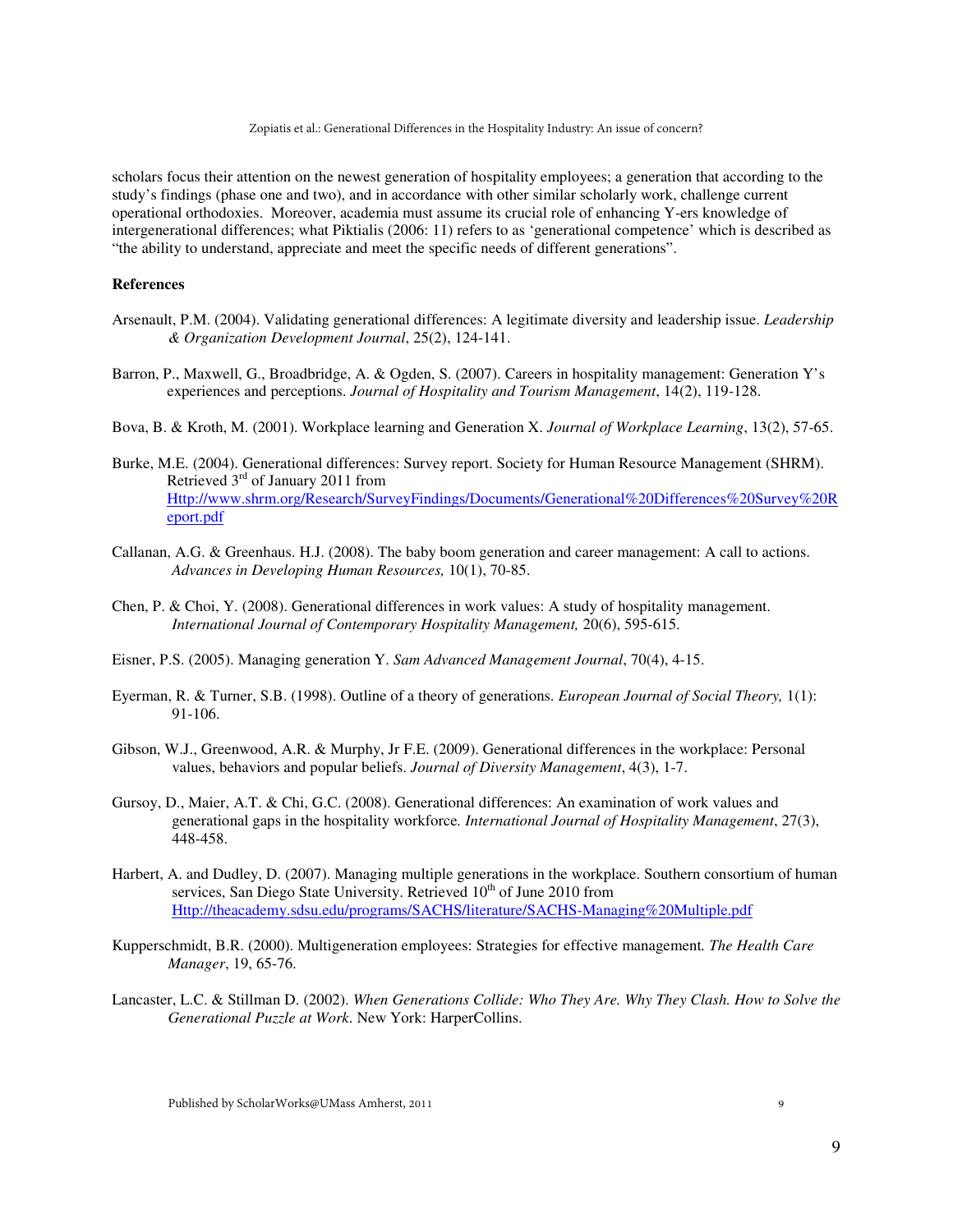Zopiatis et al.: Generational Differences in the Hospitality Industry: An issue of concern?

scholars focus their attention on the newest generation of hospitality employees; a generation that according to the study's findings (phase one and two), and in accordance with other similar scholarly work, challenge current operational orthodoxies. Moreover, academia must assume its crucial role of enhancing Y-ers knowledge of intergenerational differences; what Piktialis (2006: 11) refers to as 'generational competence' which is described as "the ability to understand, appreciate and meet the specific needs of different generations".

# **References**

- Arsenault, P.M. (2004). Validating generational differences: A legitimate diversity and leadership issue. *Leadership & Organization Development Journal*, 25(2), 124-141.
- Barron, P., Maxwell, G., Broadbridge, A. & Ogden, S. (2007). Careers in hospitality management: Generation Y's experiences and perceptions. *Journal of Hospitality and Tourism Management*, 14(2), 119-128.
- Bova, B. & Kroth, M. (2001). Workplace learning and Generation X. *Journal of Workplace Learning*, 13(2), 57-65.
- Burke, M.E. (2004). Generational differences: Survey report. Society for Human Resource Management (SHRM). Retrieved  $3<sup>rd</sup>$  of January 2011 from Http://www.shrm.org/Research/SurveyFindings/Documents/Generational%20Differences%20Survey%20R eport.pdf
- Callanan, A.G. & Greenhaus. H.J. (2008). The baby boom generation and career management: A call to actions. *Advances in Developing Human Resources,* 10(1), 70-85.
- Chen, P. & Choi, Y. (2008). Generational differences in work values: A study of hospitality management. *International Journal of Contemporary Hospitality Management,* 20(6), 595-615.
- Eisner, P.S. (2005). Managing generation Y. *Sam Advanced Management Journal*, 70(4), 4-15.
- Eyerman, R. & Turner, S.B. (1998). Outline of a theory of generations. *European Journal of Social Theory,* 1(1): 91-106.
- Gibson, W.J., Greenwood, A.R. & Murphy, Jr F.E. (2009). Generational differences in the workplace: Personal values, behaviors and popular beliefs. *Journal of Diversity Management*, 4(3), 1-7.
- Gursoy, D., Maier, A.T. & Chi, G.C. (2008). Generational differences: An examination of work values and generational gaps in the hospitality workforce*. International Journal of Hospitality Management*, 27(3), 448-458.
- Harbert, A. and Dudley, D. (2007). Managing multiple generations in the workplace. Southern consortium of human services, San Diego State University. Retrieved  $10^{th}$  of June 2010 from Http://theacademy.sdsu.edu/programs/SACHS/literature/SACHS-Managing%20Multiple.pdf
- Kupperschmidt, B.R. (2000). Multigeneration employees: Strategies for effective management*. The Health Care Manager*, 19, 65-76.
- Lancaster, L.C. & Stillman D. (2002). *When Generations Collide: Who They Are. Why They Clash. How to Solve the Generational Puzzle at Work*. New York: HarperCollins.

9